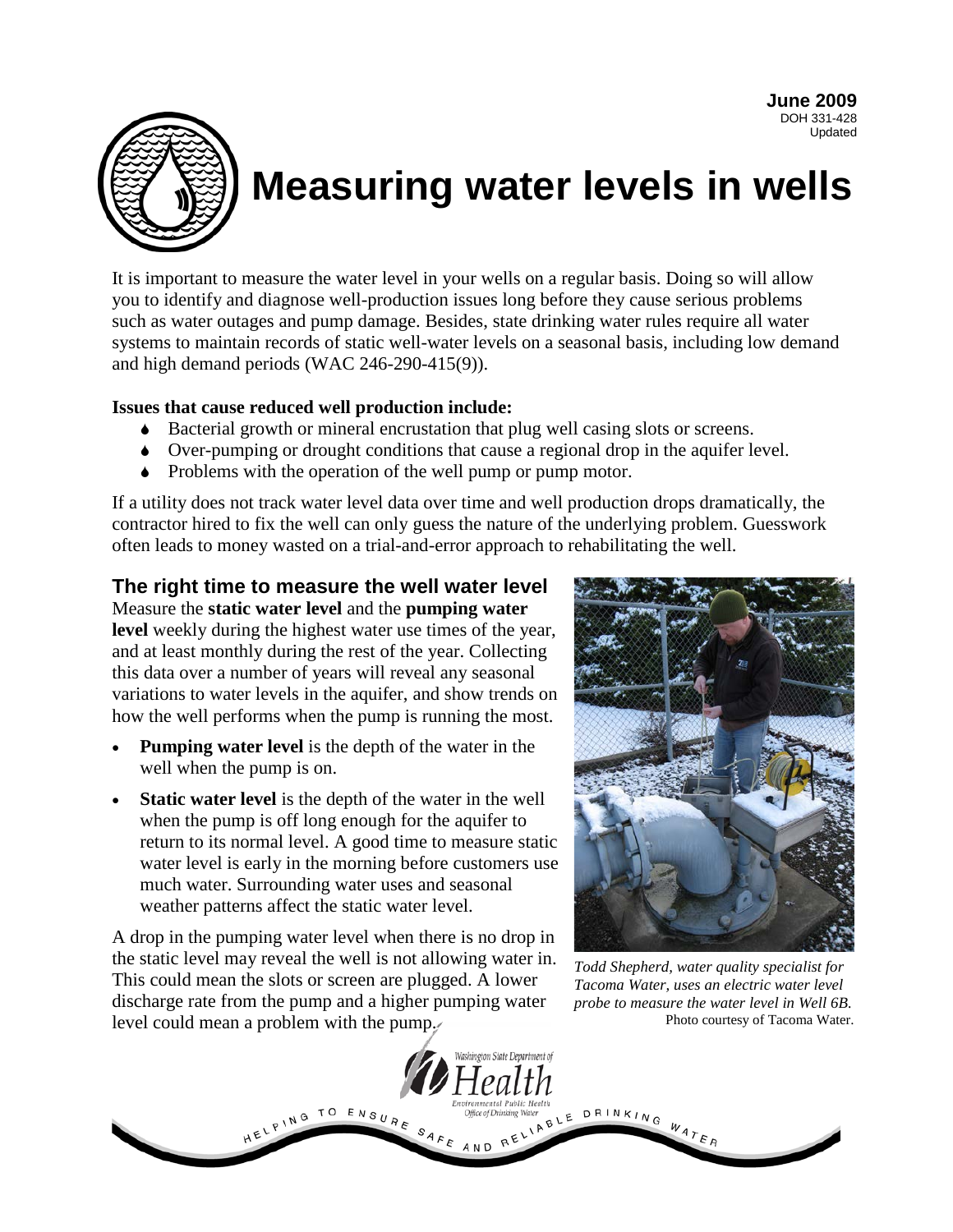**June 2009** DOH 331-428 Updated



# **Measuring water levels in wells**

It is important to measure the water level in your wells on a regular basis. Doing so will allow you to identify and diagnose well-production issues long before they cause serious problems such as water outages and pump damage. Besides, state drinking water rules require all water systems to maintain records of static well-water levels on a seasonal basis, including low demand and high demand periods (WAC 246-290-415(9)).

#### **Issues that cause reduced well production include:**

- Bacterial growth or mineral encrustation that plug well casing slots or screens.
- Over-pumping or drought conditions that cause a regional drop in the aquifer level.
- Problems with the operation of the well pump or pump motor.

If a utility does not track water level data over time and well production drops dramatically, the contractor hired to fix the well can only guess the nature of the underlying problem. Guesswork often leads to money wasted on a trial-and-error approach to rehabilitating the well.

### **The right time to measure the well water level**

Measure the **static water level** and the **pumping water level** weekly during the highest water use times of the year, and at least monthly during the rest of the year. Collecting this data over a number of years will reveal any seasonal variations to water levels in the aquifer, and show trends on how the well performs when the pump is running the most.

- **Pumping water level** is the depth of the water in the well when the pump is on.
- **Static water level** is the depth of the water in the well when the pump is off long enough for the aquifer to return to its normal level. A good time to measure static water level is early in the morning before customers use much water. Surrounding water uses and seasonal weather patterns affect the static water level.

A drop in the pumping water level when there is no drop in the static level may reveal the well is not allowing water in. This could mean the slots or screen are plugged. A lower discharge rate from the pump and a higher pumping water level could mean a problem with the pump.



*Todd Shepherd, water quality specialist for Tacoma Water, uses an electric water level probe to measure the water level in Well 6B.* Photo courtesy of Tacoma Water.

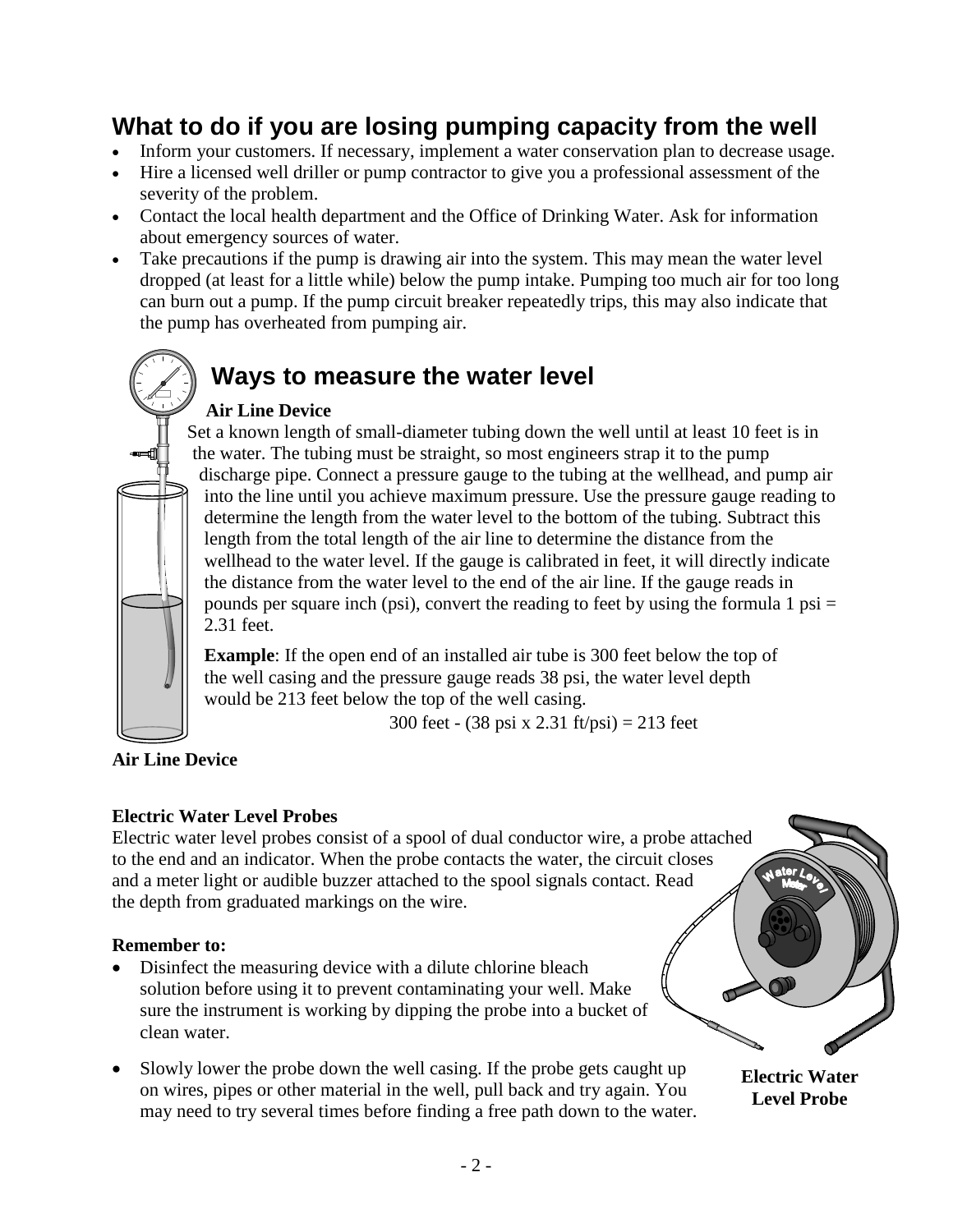# **What to do if you are losing pumping capacity from the well**

- Inform your customers. If necessary, implement a water conservation plan to decrease usage.
- Hire a licensed well driller or pump contractor to give you a professional assessment of the severity of the problem.
- Contact the local health department and the Office of Drinking Water. Ask for information about emergency sources of water.
- Take precautions if the pump is drawing air into the system. This may mean the water level dropped (at least for a little while) below the pump intake. Pumping too much air for too long can burn out a pump. If the pump circuit breaker repeatedly trips, this may also indicate that the pump has overheated from pumping air.

# **Ways to measure the water level**

# **Air Line Device**

Set a known length of small-diameter tubing down the well until at least 10 feet is in the water. The tubing must be straight, so most engineers strap it to the pump discharge pipe. Connect a pressure gauge to the tubing at the wellhead, and pump air into the line until you achieve maximum pressure. Use the pressure gauge reading to determine the length from the water level to the bottom of the tubing. Subtract this length from the total length of the air line to determine the distance from the wellhead to the water level. If the gauge is calibrated in feet, it will directly indicate the distance from the water level to the end of the air line. If the gauge reads in pounds per square inch (psi), convert the reading to feet by using the formula 1 psi  $=$ 2.31 feet.

**Example**: If the open end of an installed air tube is 300 feet below the top of the well casing and the pressure gauge reads 38 psi, the water level depth would be 213 feet below the top of the well casing.

300 feet - (38 psi x 2.31 ft/psi) = 213 feet

## **Air Line Device**

## **Electric Water Level Probes**

Electric water level probes consist of a spool of dual conductor wire, a probe attached to the end and an indicator. When the probe contacts the water, the circuit closes and a meter light or audible buzzer attached to the spool signals contact. Read the depth from graduated markings on the wire.

#### **Remember to:**

- Disinfect the measuring device with a dilute chlorine bleach solution before using it to prevent contaminating your well. Make sure the instrument is working by dipping the probe into a bucket of clean water.
- Slowly lower the probe down the well casing. If the probe gets caught up on wires, pipes or other material in the well, pull back and try again. You may need to try several times before finding a free path down to the water.

**Electric Water Level Probe**